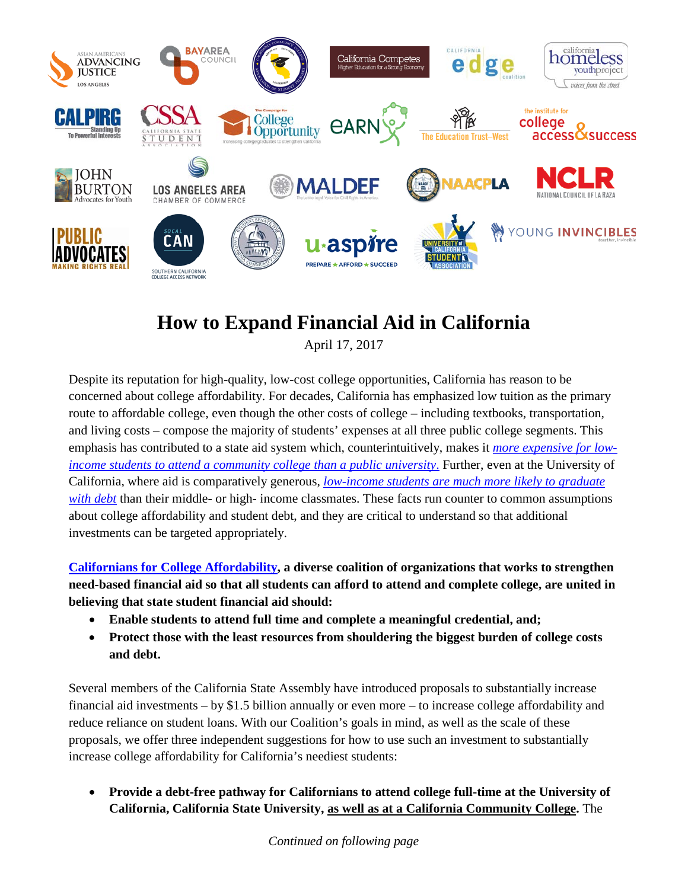

## **How to Expand Financial Aid in California**

April 17, 2017

Despite its reputation for high-quality, low-cost college opportunities, California has reason to be concerned about college affordability. For decades, California has emphasized low tuition as the primary route to affordable college, even though the other costs of college – including textbooks, transportation, and living costs – compose the majority of students' expenses at all three public college segments. This emphasis has contributed to a state aid system which, counterintuitively, makes it *[more expensive for low](http://ticas.org/sites/default/files/pub_files/what_college_costs_for_low-income_californians.pdf)[income students to attend a community college than a public university](http://ticas.org/sites/default/files/pub_files/what_college_costs_for_low-income_californians.pdf)*. Further, even at the University of California, where aid is comparatively generous, *[low-income students are much more likely to graduate](http://accountability.universityofcalifornia.edu/2016/chapters/chapter-2.html#2.5.3)  [with debt](http://accountability.universityofcalifornia.edu/2016/chapters/chapter-2.html#2.5.3)* than their middle- or high- income classmates. These facts run counter to common assumptions about college affordability and student debt, and they are critical to understand so that additional investments can be targeted appropriately.

**[Californians for College Affordability,](http://ticas.org/sites/default/files/pub_files/californians_for_college_affordability_2017.pdf) a diverse coalition of organizations that works to strengthen need-based financial aid so that all students can afford to attend and complete college, are united in believing that state student financial aid should:** 

- **Enable students to attend full time and complete a meaningful credential, and;**
- **Protect those with the least resources from shouldering the biggest burden of college costs and debt.**

Several members of the California State Assembly have introduced proposals to substantially increase financial aid investments – by \$1.5 billion annually or even more – to increase college affordability and reduce reliance on student loans. With our Coalition's goals in mind, as well as the scale of these proposals, we offer three independent suggestions for how to use such an investment to substantially increase college affordability for California's neediest students:

• **Provide a debt-free pathway for Californians to attend college full-time at the University of California, California State University, as well as at a California Community College.** The

*Continued on following page*